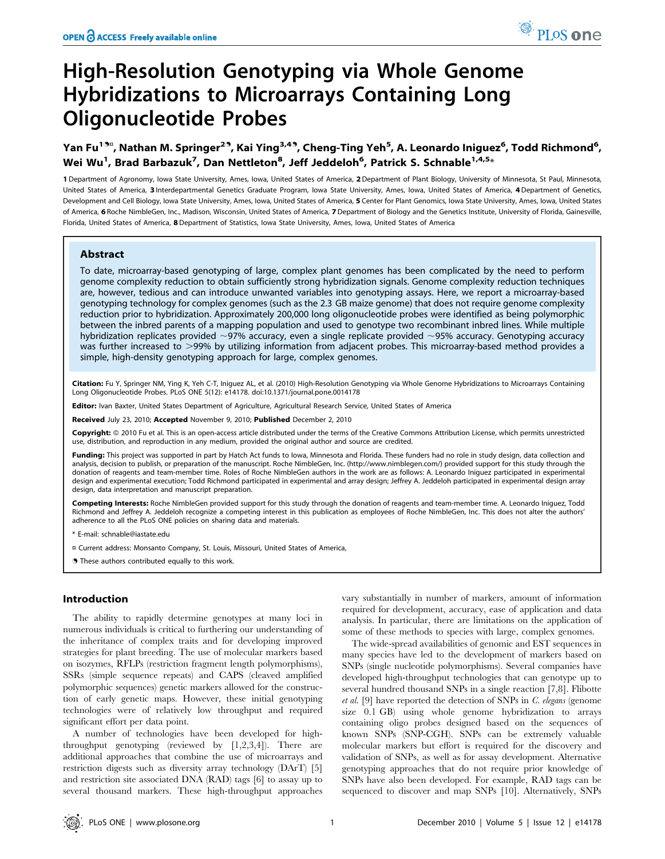# High-Resolution Genotyping via Whole Genome Hybridizations to Microarrays Containing Long Oligonucleotide Probes

Yan Fu<sup>19¤</sup>, Nathan M. Springer<sup>29</sup>, Kai Ying<sup>3,49</sup>, Cheng-Ting Yeh<sup>5</sup>, A. Leonardo Iniguez<sup>6</sup>, Todd Richmond<sup>6</sup>, Wei Wu $^1$ , Brad Barbazuk $^7$ , Dan Nettleton $^8$ , Jeff Jeddeloh $^6$ , Patrick S. Schnable $^{1,4,5_\times}$ 

1 Department of Agronomy, Iowa State University, Ames, Iowa, United States of America, 2 Department of Plant Biology, University of Minnesota, St Paul, Minnesota, United States of America, 3 Interdepartmental Genetics Graduate Program, Iowa State University, Ames, Iowa, United States of America, 4Department of Genetics, Development and Cell Biology, Iowa State University, Ames, Iowa, United States of America, 5 Center for Plant Genomics, Iowa State University, Ames, Iowa, United States of America, 6 Roche NimbleGen, Inc., Madison, Wisconsin, United States of America, 7 Department of Biology and the Genetics Institute, University of Florida, Gainesville, Florida, United States of America, 8 Department of Statistics, Iowa State University, Ames, Iowa, United States of America

# Abstract

To date, microarray-based genotyping of large, complex plant genomes has been complicated by the need to perform genome complexity reduction to obtain sufficiently strong hybridization signals. Genome complexity reduction techniques are, however, tedious and can introduce unwanted variables into genotyping assays. Here, we report a microarray-based genotyping technology for complex genomes (such as the 2.3 GB maize genome) that does not require genome complexity reduction prior to hybridization. Approximately 200,000 long oligonucleotide probes were identified as being polymorphic between the inbred parents of a mapping population and used to genotype two recombinant inbred lines. While multiple hybridization replicates provided  $\sim$ 97% accuracy, even a single replicate provided  $\sim$ 95% accuracy. Genotyping accuracy was further increased to >99% by utilizing information from adjacent probes. This microarray-based method provides a simple, high-density genotyping approach for large, complex genomes.

Citation: Fu Y, Springer NM, Ying K, Yeh C-T, Iniquez AL, et al. (2010) High-Resolution Genotyping via Whole Genome Hybridizations to Microarrays Containing Long Oligonucleotide Probes. PLoS ONE 5(12): e14178. doi:10.1371/journal.pone.0014178

ditor: Ivan Baxter, United States Department of Agriculture, Agricultural Research Service, United States of America

Received July 23, 2010; Accepted November 9, 2010; Published December 2, 2010

Copyright: © 2010 Fu et al. This is an open-access article distributed under the terms of the Creative Commons Attribution License, which permits unrestricted use, distribution, and reproduction in any medium, provided the original author and source are credited.

Funding: This project was supported in part by Hatch Act funds to Iowa, Minnesota and Florida. These funders had no role in study design, data collection and analysis, decision to publish, or preparation of the manuscript. Roche NimbleGen, Inc. (http://www.nimblegen.com/) provided support for this study through the donation of reagents and team-member time. Roles of Roche NimbleGen authors in the work are as follows: A. Leonardo Iniguez participated in experimental design and experimental execution; Todd Richmond participated in experimental and array design; Jeffrey A. Jeddeloh participated in experimental design array design, data interpretation and manuscript preparation.

Competing Interests: Roche NimbleGen provided support for this study through the donation of reagents and team-member time. A. Leonardo Iniguez, Todd Richmond and Jeffrey A. Jeddeloh recognize a competing interest in this publication as employees of Roche NimbleGen, Inc. This does not alter the authors' adherence to all the PLoS ONE policies on sharing data and materials.

\* E-mail: schnable@iastate.edu

¤ Current address: Monsanto Company, St. Louis, Missouri, United States of America,

. These authors contributed equally to this work.

# Introduction

The ability to rapidly determine genotypes at many loci in numerous individuals is critical to furthering our understanding of the inheritance of complex traits and for developing improved strategies for plant breeding. The use of molecular markers based on isozymes, RFLPs (restriction fragment length polymorphisms), SSRs (simple sequence repeats) and CAPS (cleaved amplified polymorphic sequences) genetic markers allowed for the construction of early genetic maps. However, these initial genotyping technologies were of relatively low throughput and required significant effort per data point.

A number of technologies have been developed for highthroughput genotyping (reviewed by [1,2,3,4]). There are additional approaches that combine the use of microarrays and restriction digests such as diversity array technology (DArT) [5] and restriction site associated DNA (RAD) tags [6] to assay up to several thousand markers. These high-throughput approaches vary substantially in number of markers, amount of information required for development, accuracy, ease of application and data analysis. In particular, there are limitations on the application of some of these methods to species with large, complex genomes.

The wide-spread availabilities of genomic and EST sequences in many species have led to the development of markers based on SNPs (single nucleotide polymorphisms). Several companies have developed high-throughput technologies that can genotype up to several hundred thousand SNPs in a single reaction [7,8]. Flibotte et al. [9] have reported the detection of SNPs in C. elegans (genome size 0.1 GB) using whole genome hybridization to arrays containing oligo probes designed based on the sequences of known SNPs (SNP-CGH). SNPs can be extremely valuable molecular markers but effort is required for the discovery and validation of SNPs, as well as for assay development. Alternative genotyping approaches that do not require prior knowledge of SNPs have also been developed. For example, RAD tags can be sequenced to discover and map SNPs [10]. Alternatively, SNPs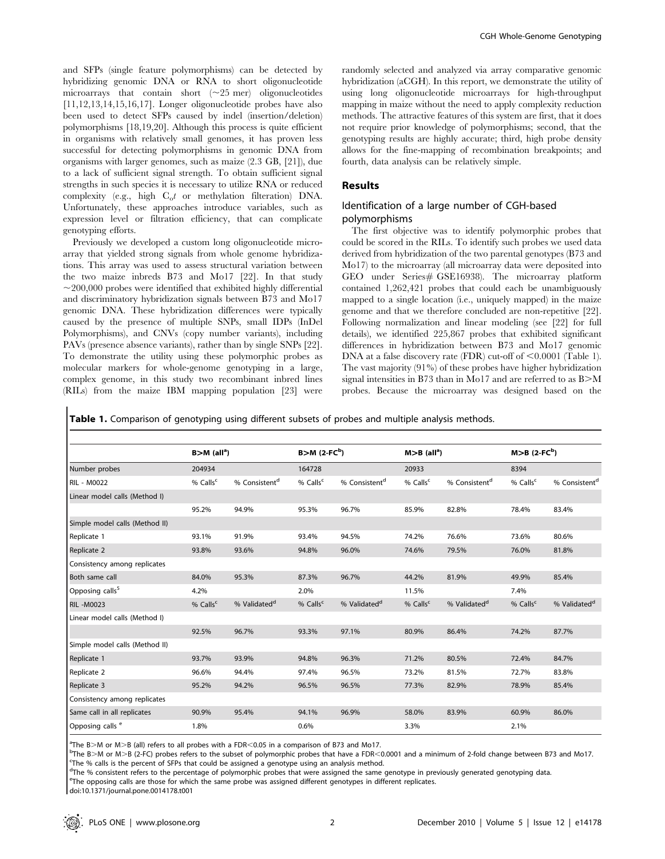and SFPs (single feature polymorphisms) can be detected by hybridizing genomic DNA or RNA to short oligonucleotide microarrays that contain short  $(\sim 25$  mer) oligonucleotides [11,12,13,14,15,16,17]. Longer oligonucleotide probes have also been used to detect SFPs caused by indel (insertion/deletion) polymorphisms [18,19,20]. Although this process is quite efficient in organisms with relatively small genomes, it has proven less successful for detecting polymorphisms in genomic DNA from organisms with larger genomes, such as maize (2.3 GB, [21]), due to a lack of sufficient signal strength. To obtain sufficient signal strengths in such species it is necessary to utilize RNA or reduced complexity (e.g., high  $C_0t$  or methylation filteration) DNA. Unfortunately, these approaches introduce variables, such as expression level or filtration efficiency, that can complicate genotyping efforts.

Previously we developed a custom long oligonucleotide microarray that yielded strong signals from whole genome hybridizations. This array was used to assess structural variation between the two maize inbreds B73 and Mo17 [22]. In that study  $\sim$ 200,000 probes were identified that exhibited highly differential and discriminatory hybridization signals between B73 and Mo17 genomic DNA. These hybridization differences were typically caused by the presence of multiple SNPs, small IDPs (InDel Polymorphisms), and CNVs (copy number variants), including PAVs (presence absence variants), rather than by single SNPs [22]. To demonstrate the utility using these polymorphic probes as molecular markers for whole-genome genotyping in a large, complex genome, in this study two recombinant inbred lines (RILs) from the maize IBM mapping population [23] were

randomly selected and analyzed via array comparative genomic hybridization (aCGH). In this report, we demonstrate the utility of using long oligonucleotide microarrays for high-throughput mapping in maize without the need to apply complexity reduction methods. The attractive features of this system are first, that it does not require prior knowledge of polymorphisms; second, that the genotyping results are highly accurate; third, high probe density allows for the fine-mapping of recombination breakpoints; and fourth, data analysis can be relatively simple.

## Results

# Identification of a large number of CGH-based polymorphisms

The first objective was to identify polymorphic probes that could be scored in the RILs. To identify such probes we used data derived from hybridization of the two parental genotypes (B73 and Mo17) to the microarray (all microarray data were deposited into GEO under Series# GSE16938). The microarray platform contained 1,262,421 probes that could each be unambiguously mapped to a single location (i.e., uniquely mapped) in the maize genome and that we therefore concluded are non-repetitive [22]. Following normalization and linear modeling (see [22] for full details), we identified 225,867 probes that exhibited significant differences in hybridization between B73 and Mo17 genomic DNA at a false discovery rate (FDR) cut-off of  $\leq 0.0001$  (Table 1). The vast majority (91%) of these probes have higher hybridization signal intensities in B73 than in Mo17 and are referred to as  $B>M$ probes. Because the microarray was designed based on the

Table 1. Comparison of genotyping using different subsets of probes and multiple analysis methods.

|                                | $B>M$ (all <sup>a</sup> ) |                           | $B>M (2-FC^b)$       |                           | $M > B$ (all <sup>a</sup> ) |                           | $M > B$ (2-FC <sup>b</sup> ) |                           |
|--------------------------------|---------------------------|---------------------------|----------------------|---------------------------|-----------------------------|---------------------------|------------------------------|---------------------------|
| Number probes                  | 204934                    |                           | 164728               |                           | 20933                       |                           | 8394                         |                           |
| <b>RIL - M0022</b>             | % Calls <sup>c</sup>      | % Consistent <sup>d</sup> | % Calls <sup>c</sup> | % Consistent <sup>d</sup> | % Calls <sup>c</sup>        | % Consistent <sup>d</sup> | % Calls <sup>c</sup>         | % Consistent <sup>d</sup> |
| Linear model calls (Method I)  |                           |                           |                      |                           |                             |                           |                              |                           |
|                                | 95.2%                     | 94.9%                     | 95.3%                | 96.7%                     | 85.9%                       | 82.8%                     | 78.4%                        | 83.4%                     |
| Simple model calls (Method II) |                           |                           |                      |                           |                             |                           |                              |                           |
| Replicate 1                    | 93.1%                     | 91.9%                     | 93.4%                | 94.5%                     | 74.2%                       | 76.6%                     | 73.6%                        | 80.6%                     |
| Replicate 2                    | 93.8%                     | 93.6%                     | 94.8%                | 96.0%                     | 74.6%                       | 79.5%                     | 76.0%                        | 81.8%                     |
| Consistency among replicates   |                           |                           |                      |                           |                             |                           |                              |                           |
| Both same call                 | 84.0%                     | 95.3%                     | 87.3%                | 96.7%                     | 44.2%                       | 81.9%                     | 49.9%                        | 85.4%                     |
| Opposing calls <sup>5</sup>    | 4.2%                      |                           | 2.0%                 |                           | 11.5%                       |                           | 7.4%                         |                           |
| <b>RIL-M0023</b>               | % Calls $c$               | % Validated <sup>d</sup>  | % Calls <sup>c</sup> | % Validated <sup>d</sup>  | % Calls $c$                 | % Validated <sup>d</sup>  | % Calls <sup>c</sup>         | % Validated <sup>d</sup>  |
| Linear model calls (Method I)  |                           |                           |                      |                           |                             |                           |                              |                           |
|                                | 92.5%                     | 96.7%                     | 93.3%                | 97.1%                     | 80.9%                       | 86.4%                     | 74.2%                        | 87.7%                     |
| Simple model calls (Method II) |                           |                           |                      |                           |                             |                           |                              |                           |
| Replicate 1                    | 93.7%                     | 93.9%                     | 94.8%                | 96.3%                     | 71.2%                       | 80.5%                     | 72.4%                        | 84.7%                     |
| Replicate 2                    | 96.6%                     | 94.4%                     | 97.4%                | 96.5%                     | 73.2%                       | 81.5%                     | 72.7%                        | 83.8%                     |
| Replicate 3                    | 95.2%                     | 94.2%                     | 96.5%                | 96.5%                     | 77.3%                       | 82.9%                     | 78.9%                        | 85.4%                     |
| Consistency among replicates   |                           |                           |                      |                           |                             |                           |                              |                           |
| Same call in all replicates    | 90.9%                     | 95.4%                     | 94.1%                | 96.9%                     | 58.0%                       | 83.9%                     | 60.9%                        | 86.0%                     |
| Opposing calls <sup>e</sup>    | 1.8%                      |                           | 0.6%                 |                           | 3.3%                        |                           | 2.1%                         |                           |

The B > M or M > B (all) refers to all probes with a FDR < 0.05 in a comparison of B73 and Mo17.<br>PThe B > M or M > B (2-EC) probes refers to the subset of polymorphic probes that have a FDB <

 $b$ The B>M or M>B (2-FC) probes refers to the subset of polymorphic probes that have a FDR<0.0001 and a minimum of 2-fold change between B73 and Mo17.

<sup>c</sup>The % calls is the percent of SFPs that could be assigned a genotype using an analysis method.

<sup>d</sup>The % consistent refers to the percentage of polymorphic probes that were assigned the same genotype in previously generated genotyping data. e The opposing calls are those for which the same probe was assigned different genotypes in different replicates.

doi:10.1371/journal.pone.0014178.t001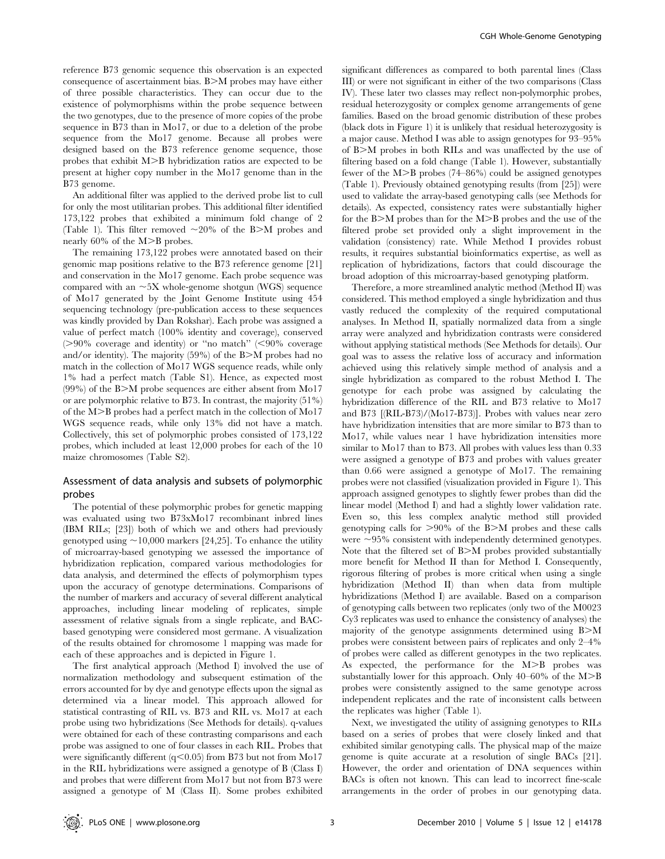reference B73 genomic sequence this observation is an expected consequence of ascertainment bias.  $B>M$  probes may have either of three possible characteristics. They can occur due to the existence of polymorphisms within the probe sequence between the two genotypes, due to the presence of more copies of the probe sequence in B73 than in Mo17, or due to a deletion of the probe sequence from the Mo17 genome. Because all probes were designed based on the B73 reference genome sequence, those probes that exhibit  $M>B$  hybridization ratios are expected to be present at higher copy number in the Mo17 genome than in the B73 genome.

An additional filter was applied to the derived probe list to cull for only the most utilitarian probes. This additional filter identified 173,122 probes that exhibited a minimum fold change of 2 (Table 1). This filter removed  $\sim$ 20% of the B $>$ M probes and nearly  $60\%$  of the M>B probes.

The remaining 173,122 probes were annotated based on their genomic map positions relative to the B73 reference genome [21] and conservation in the Mo17 genome. Each probe sequence was compared with an  $\sim$ 5X whole-genome shotgun (WGS) sequence of Mo17 generated by the Joint Genome Institute using 454 sequencing technology (pre-publication access to these sequences was kindly provided by Dan Rokshar). Each probe was assigned a value of perfect match (100% identity and coverage), conserved  $(>90\%$  coverage and identity) or "no match" (<90% coverage and/or identity). The majority  $(59\%)$  of the B $>$ M probes had no match in the collection of Mo17 WGS sequence reads, while only 1% had a perfect match (Table S1). Hence, as expected most  $(99\%)$  of the B $>$ M probe sequences are either absent from Mo17 or are polymorphic relative to B73. In contrast, the majority (51%) of the  $M>B$  probes had a perfect match in the collection of  $M_017$ WGS sequence reads, while only 13% did not have a match. Collectively, this set of polymorphic probes consisted of 173,122 probes, which included at least 12,000 probes for each of the 10 maize chromosomes (Table S2).

# Assessment of data analysis and subsets of polymorphic probes

The potential of these polymorphic probes for genetic mapping was evaluated using two B73xMo17 recombinant inbred lines (IBM RILs; [23]) both of which we and others had previously genotyped using  $\sim$ 10,000 markers [24,25]. To enhance the utility of microarray-based genotyping we assessed the importance of hybridization replication, compared various methodologies for data analysis, and determined the effects of polymorphism types upon the accuracy of genotype determinations. Comparisons of the number of markers and accuracy of several different analytical approaches, including linear modeling of replicates, simple assessment of relative signals from a single replicate, and BACbased genotyping were considered most germane. A visualization of the results obtained for chromosome 1 mapping was made for each of these approaches and is depicted in Figure 1.

The first analytical approach (Method I) involved the use of normalization methodology and subsequent estimation of the errors accounted for by dye and genotype effects upon the signal as determined via a linear model. This approach allowed for statistical contrasting of RIL vs. B73 and RIL vs. Mo17 at each probe using two hybridizations (See Methods for details). q-values were obtained for each of these contrasting comparisons and each probe was assigned to one of four classes in each RIL. Probes that were significantly different  $(q<0.05)$  from B73 but not from Mo17 in the RIL hybridizations were assigned a genotype of B (Class I) and probes that were different from Mo17 but not from B73 were assigned a genotype of M (Class II). Some probes exhibited

significant differences as compared to both parental lines (Class III) or were not significant in either of the two comparisons (Class IV). These later two classes may reflect non-polymorphic probes, residual heterozygosity or complex genome arrangements of gene families. Based on the broad genomic distribution of these probes (black dots in Figure 1) it is unlikely that residual heterozygosity is a major cause. Method I was able to assign genotypes for 93–95% of  $B>M$  probes in both RILs and was unaffected by the use of filtering based on a fold change (Table 1). However, substantially fewer of the  $M>B$  probes (74–86%) could be assigned genotypes (Table 1). Previously obtained genotyping results (from [25]) were used to validate the array-based genotyping calls (see Methods for details). As expected, consistency rates were substantially higher for the B $>$ M probes than for the M $>$ B probes and the use of the filtered probe set provided only a slight improvement in the validation (consistency) rate. While Method I provides robust results, it requires substantial bioinformatics expertise, as well as replication of hybridizations, factors that could discourage the broad adoption of this microarray-based genotyping platform.

Therefore, a more streamlined analytic method (Method II) was considered. This method employed a single hybridization and thus vastly reduced the complexity of the required computational analyses. In Method II, spatially normalized data from a single array were analyzed and hybridization contrasts were considered without applying statistical methods (See Methods for details). Our goal was to assess the relative loss of accuracy and information achieved using this relatively simple method of analysis and a single hybridization as compared to the robust Method I. The genotype for each probe was assigned by calculating the hybridization difference of the RIL and B73 relative to Mo17 and B73 [(RIL-B73)/(Mo17-B73)]. Probes with values near zero have hybridization intensities that are more similar to B73 than to Mo17, while values near 1 have hybridization intensities more similar to Mo17 than to B73. All probes with values less than 0.33 were assigned a genotype of B73 and probes with values greater than 0.66 were assigned a genotype of Mo17. The remaining probes were not classified (visualization provided in Figure 1). This approach assigned genotypes to slightly fewer probes than did the linear model (Method I) and had a slightly lower validation rate. Even so, this less complex analytic method still provided genotyping calls for  $>90\%$  of the B $>$ M probes and these calls were  $\sim$ 95% consistent with independently determined genotypes. Note that the filtered set of B $>$ M probes provided substantially more benefit for Method II than for Method I. Consequently, rigorous filtering of probes is more critical when using a single hybridization (Method II) than when data from multiple hybridizations (Method I) are available. Based on a comparison of genotyping calls between two replicates (only two of the M0023 Cy3 replicates was used to enhance the consistency of analyses) the majority of the genotype assignments determined using B $>$ M probes were consistent between pairs of replicates and only 2–4% of probes were called as different genotypes in the two replicates. As expected, the performance for the M>B probes was substantially lower for this approach. Only  $40-60\%$  of the  $M>B$ probes were consistently assigned to the same genotype across independent replicates and the rate of inconsistent calls between the replicates was higher (Table 1).

Next, we investigated the utility of assigning genotypes to RILs based on a series of probes that were closely linked and that exhibited similar genotyping calls. The physical map of the maize genome is quite accurate at a resolution of single BACs [21]. However, the order and orientation of DNA sequences within BACs is often not known. This can lead to incorrect fine-scale arrangements in the order of probes in our genotyping data.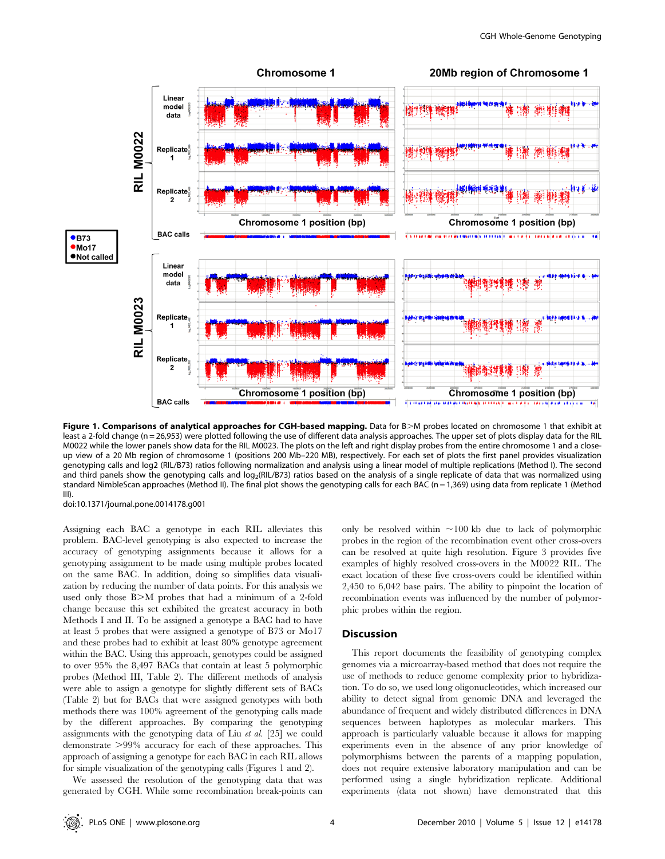

Figure 1. Comparisons of analytical approaches for CGH-based mapping. Data for B>M probes located on chromosome 1 that exhibit at least a 2-fold change (n = 26,953) were plotted following the use of different data analysis approaches. The upper set of plots display data for the RIL M0022 while the lower panels show data for the RIL M0023. The plots on the left and right display probes from the entire chromosome 1 and a closeup view of a 20 Mb region of chromosome 1 (positions 200 Mb–220 MB), respectively. For each set of plots the first panel provides visualization genotyping calls and log2 (RIL/B73) ratios following normalization and analysis using a linear model of multiple replications (Method I). The second and third panels show the genotyping calls and  $log<sub>2</sub>(RIL/B73)$  ratios based on the analysis of a single replicate of data that was normalized using standard NimbleScan approaches (Method II). The final plot shows the genotyping calls for each BAC (n = 1,369) using data from replicate 1 (Method III).

doi:10.1371/journal.pone.0014178.g001

Assigning each BAC a genotype in each RIL alleviates this problem. BAC-level genotyping is also expected to increase the accuracy of genotyping assignments because it allows for a genotyping assignment to be made using multiple probes located on the same BAC. In addition, doing so simplifies data visualization by reducing the number of data points. For this analysis we used only those B $>$ M probes that had a minimum of a 2-fold change because this set exhibited the greatest accuracy in both Methods I and II. To be assigned a genotype a BAC had to have at least 5 probes that were assigned a genotype of B73 or Mo17 and these probes had to exhibit at least 80% genotype agreement within the BAC. Using this approach, genotypes could be assigned to over 95% the 8,497 BACs that contain at least 5 polymorphic probes (Method III, Table 2). The different methods of analysis were able to assign a genotype for slightly different sets of BACs (Table 2) but for BACs that were assigned genotypes with both methods there was 100% agreement of the genotyping calls made by the different approaches. By comparing the genotyping assignments with the genotyping data of Liu et al. [25] we could demonstrate  $>99\%$  accuracy for each of these approaches. This approach of assigning a genotype for each BAC in each RIL allows for simple visualization of the genotyping calls (Figures 1 and 2).

We assessed the resolution of the genotyping data that was generated by CGH. While some recombination break-points can only be resolved within  $\sim$ 100 kb due to lack of polymorphic probes in the region of the recombination event other cross-overs can be resolved at quite high resolution. Figure 3 provides five examples of highly resolved cross-overs in the M0022 RIL. The exact location of these five cross-overs could be identified within 2,450 to 6,042 base pairs. The ability to pinpoint the location of recombination events was influenced by the number of polymorphic probes within the region.

# Discussion

This report documents the feasibility of genotyping complex genomes via a microarray-based method that does not require the use of methods to reduce genome complexity prior to hybridization. To do so, we used long oligonucleotides, which increased our ability to detect signal from genomic DNA and leveraged the abundance of frequent and widely distributed differences in DNA sequences between haplotypes as molecular markers. This approach is particularly valuable because it allows for mapping experiments even in the absence of any prior knowledge of polymorphisms between the parents of a mapping population, does not require extensive laboratory manipulation and can be performed using a single hybridization replicate. Additional experiments (data not shown) have demonstrated that this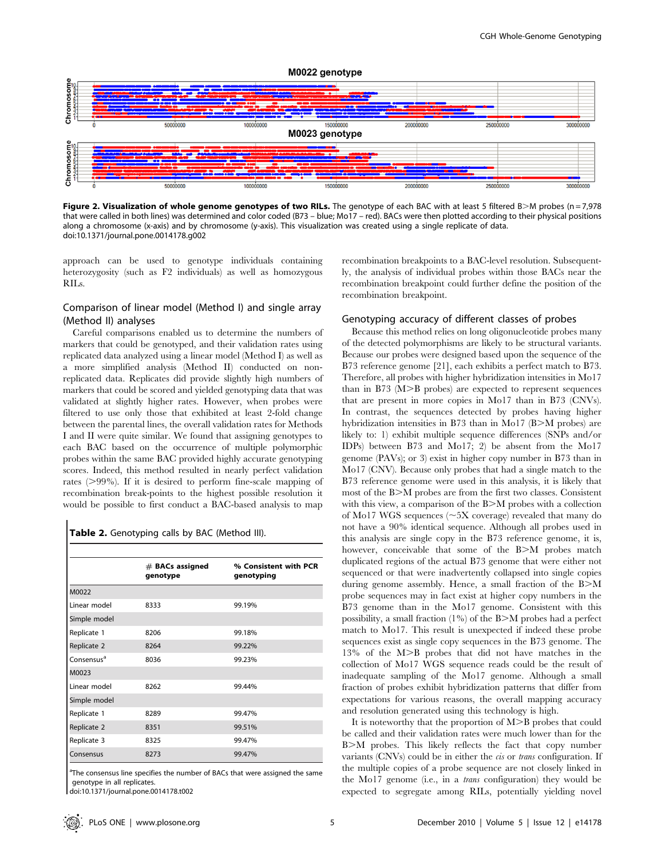

Figure 2. Visualization of whole genome genotypes of two RILs. The genotype of each BAC with at least 5 filtered B $>$ M probes (n = 7,978) that were called in both lines) was determined and color coded (B73 – blue; Mo17 – red). BACs were then plotted according to their physical positions along a chromosome (x-axis) and by chromosome (y-axis). This visualization was created using a single replicate of data. doi:10.1371/journal.pone.0014178.g002

approach can be used to genotype individuals containing heterozygosity (such as F2 individuals) as well as homozygous RILs.

# Comparison of linear model (Method I) and single array (Method II) analyses

Careful comparisons enabled us to determine the numbers of markers that could be genotyped, and their validation rates using replicated data analyzed using a linear model (Method I) as well as a more simplified analysis (Method II) conducted on nonreplicated data. Replicates did provide slightly high numbers of markers that could be scored and yielded genotyping data that was validated at slightly higher rates. However, when probes were filtered to use only those that exhibited at least 2-fold change between the parental lines, the overall validation rates for Methods I and II were quite similar. We found that assigning genotypes to each BAC based on the occurrence of multiple polymorphic probes within the same BAC provided highly accurate genotyping scores. Indeed, this method resulted in nearly perfect validation rates  $(>99\%)$ . If it is desired to perform fine-scale mapping of recombination break-points to the highest possible resolution it would be possible to first conduct a BAC-based analysis to map

# Table 2. Genotyping calls by BAC (Method III).

|                        | $#$ BACs assigned<br>genotype | % Consistent with PCR<br>genotyping |
|------------------------|-------------------------------|-------------------------------------|
| M0022                  |                               |                                     |
| Linear model           | 8333                          | 99.19%                              |
| Simple model           |                               |                                     |
| Replicate 1            | 8206                          | 99.18%                              |
| Replicate 2            | 8264                          | 99.22%                              |
| Consensus <sup>a</sup> | 8036                          | 99.23%                              |
| M0023                  |                               |                                     |
| Linear model           | 8262                          | 99.44%                              |
| Simple model           |                               |                                     |
| Replicate 1            | 8289                          | 99.47%                              |
| Replicate 2            | 8351                          | 99.51%                              |
| Replicate 3            | 8325                          | 99.47%                              |
| Consensus              | 8273                          | 99.47%                              |

<sup>a</sup>The consensus line specifies the number of BACs that were assigned the same genotype in all replicates.

doi:10.1371/journal.pone.0014178.t002

recombination breakpoints to a BAC-level resolution. Subsequently, the analysis of individual probes within those BACs near the recombination breakpoint could further define the position of the recombination breakpoint.

## Genotyping accuracy of different classes of probes

Because this method relies on long oligonucleotide probes many of the detected polymorphisms are likely to be structural variants. Because our probes were designed based upon the sequence of the B73 reference genome [21], each exhibits a perfect match to B73. Therefore, all probes with higher hybridization intensities in Mo17 than in B73  $(M>B$  probes) are expected to represent sequences that are present in more copies in Mo17 than in B73 (CNVs). In contrast, the sequences detected by probes having higher hybridization intensities in B73 than in Mo17 (B $>$ M probes) are likely to: 1) exhibit multiple sequence differences (SNPs and/or IDPs) between B73 and Mo17; 2) be absent from the Mo17 genome (PAVs); or 3) exist in higher copy number in B73 than in Mo17 (CNV). Because only probes that had a single match to the B73 reference genome were used in this analysis, it is likely that most of the B $>$ M probes are from the first two classes. Consistent with this view, a comparison of the B>M probes with a collection of Mo17 WGS sequences  $(\sim 5X$  coverage) revealed that many do not have a 90% identical sequence. Although all probes used in this analysis are single copy in the B73 reference genome, it is, however, conceivable that some of the B $\geq M$  probes match duplicated regions of the actual B73 genome that were either not sequenced or that were inadvertently collapsed into single copies during genome assembly. Hence, a small fraction of the  $B>M$ probe sequences may in fact exist at higher copy numbers in the B73 genome than in the Mo17 genome. Consistent with this possibility, a small fraction  $(1\%)$  of the B $\geq$ M probes had a perfect match to Mo17. This result is unexpected if indeed these probe sequences exist as single copy sequences in the B73 genome. The 13% of the M>B probes that did not have matches in the collection of Mo17 WGS sequence reads could be the result of inadequate sampling of the Mo17 genome. Although a small fraction of probes exhibit hybridization patterns that differ from expectations for various reasons, the overall mapping accuracy and resolution generated using this technology is high.

It is noteworthy that the proportion of  $M>B$  probes that could be called and their validation rates were much lower than for the B $>$ M probes. This likely reflects the fact that copy number variants (CNVs) could be in either the cis or trans configuration. If the multiple copies of a probe sequence are not closely linked in the Mo17 genome (i.e., in a trans configuration) they would be expected to segregate among RILs, potentially yielding novel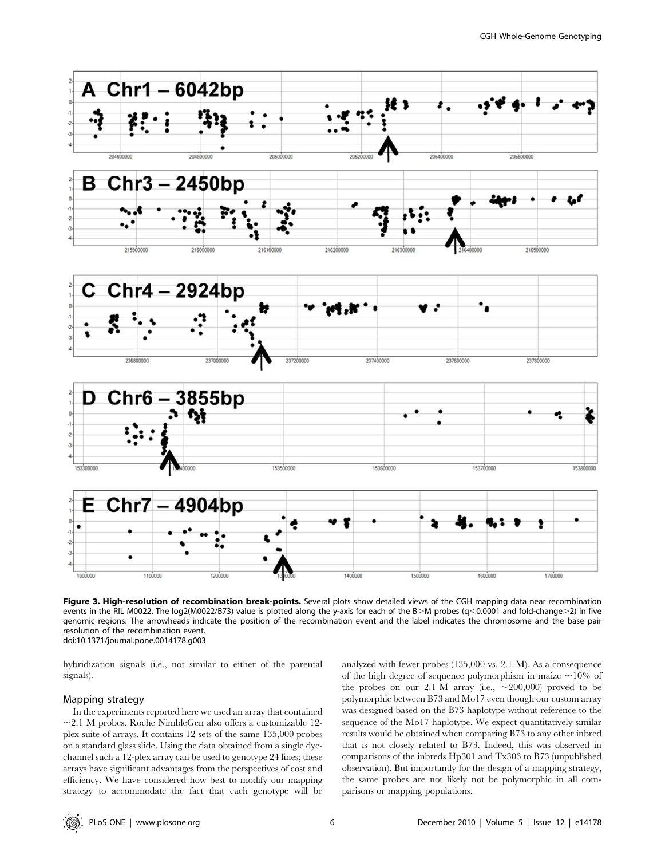

Figure 3. High-resolution of recombination break-points. Several plots show detailed views of the CGH mapping data near recombination events in the RIL M0022. The log2(M0022/B73) value is plotted along the y-axis for each of the B>M probes (q<0.0001 and fold-change>2) in five genomic regions. The arrowheads indicate the position of the recombination event and the label indicates the chromosome and the base pair resolution of the recombination event. doi:10.1371/journal.pone.0014178.g003

hybridization signals (i.e., not similar to either of the parental signals).

#### Mapping strategy

In the experiments reported here we used an array that contained  $\sim$ 2.1 M probes. Roche NimbleGen also offers a customizable 12plex suite of arrays. It contains 12 sets of the same 135,000 probes on a standard glass slide. Using the data obtained from a single dyechannel such a 12-plex array can be used to genotype 24 lines; these arrays have significant advantages from the perspectives of cost and efficiency. We have considered how best to modify our mapping strategy to accommodate the fact that each genotype will be analyzed with fewer probes (135,000 vs. 2.1 M). As a consequence of the high degree of sequence polymorphism in maize  $\sim$ 10% of the probes on our 2.1 M array (i.e.,  $\sim$  200,000) proved to be polymorphic between B73 and Mo17 even though our custom array was designed based on the B73 haplotype without reference to the sequence of the Mo17 haplotype. We expect quantitatively similar results would be obtained when comparing B73 to any other inbred that is not closely related to B73. Indeed, this was observed in comparisons of the inbreds Hp301 and Tx303 to B73 (unpublished observation). But importantly for the design of a mapping strategy, the same probes are not likely not be polymorphic in all comparisons or mapping populations.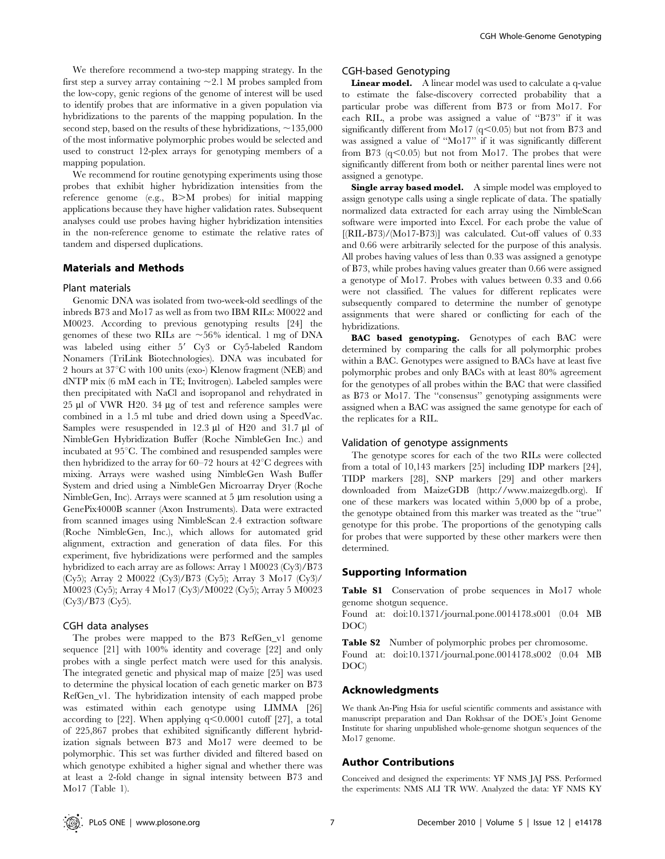We therefore recommend a two-step mapping strategy. In the first step a survey array containing  $\sim$ 2.1 M probes sampled from the low-copy, genic regions of the genome of interest will be used to identify probes that are informative in a given population via hybridizations to the parents of the mapping population. In the second step, based on the results of these hybridizations,  $\sim$ 135,000 of the most informative polymorphic probes would be selected and used to construct 12-plex arrays for genotyping members of a mapping population.

We recommend for routine genotyping experiments using those probes that exhibit higher hybridization intensities from the reference genome (e.g.,  $B>M$  probes) for initial mapping applications because they have higher validation rates. Subsequent analyses could use probes having higher hybridization intensities in the non-reference genome to estimate the relative rates of tandem and dispersed duplications.

## Materials and Methods

#### Plant materials

Genomic DNA was isolated from two-week-old seedlings of the inbreds B73 and Mo17 as well as from two IBM RILs: M0022 and M0023. According to previous genotyping results [24] the genomes of these two RILs are  $\sim 56\%$  identical. 1 mg of DNA was labeled using either 5' Cy3 or Cy5-labeled Random Nonamers (TriLink Biotechnologies). DNA was incubated for 2 hours at  $37^{\circ}$ C with 100 units (exo-) Klenow fragment (NEB) and dNTP mix (6 mM each in TE; Invitrogen). Labeled samples were then precipitated with NaCl and isopropanol and rehydrated in  $25 \mu$ l of VWR H20. 34  $\mu$ g of test and reference samples were combined in a 1.5 ml tube and dried down using a SpeedVac. Samples were resuspended in  $12.3 \text{ }\mu\text{l}$  of H20 and  $31.7 \text{ }\mu\text{l}$  of NimbleGen Hybridization Buffer (Roche NimbleGen Inc.) and incubated at  $95^{\circ}$ C. The combined and resuspended samples were then hybridized to the array for  $60-72$  hours at  $42^{\circ}$ C degrees with mixing. Arrays were washed using NimbleGen Wash Buffer System and dried using a NimbleGen Microarray Dryer (Roche  $NimbleGen, Inc$ ). Arrays were scanned at 5  $\mu$ m resolution using a GenePix4000B scanner (Axon Instruments). Data were extracted from scanned images using NimbleScan 2.4 extraction software (Roche NimbleGen, Inc.), which allows for automated grid alignment, extraction and generation of data files. For this experiment, five hybridizations were performed and the samples hybridized to each array are as follows: Array 1 M0023 (Cy3)/B73 (Cy5); Array 2 M0022 (Cy3)/B73 (Cy5); Array 3 Mo17 (Cy3)/ M0023 (Cy5); Array 4 Mo17 (Cy3)/M0022 (Cy5); Array 5 M0023 (Cy3)/B73 (Cy5).

#### CGH data analyses

The probes were mapped to the B73 RefGen\_v1 genome sequence [21] with 100% identity and coverage [22] and only probes with a single perfect match were used for this analysis. The integrated genetic and physical map of maize [25] was used to determine the physical location of each genetic marker on B73 RefGen\_v1. The hybridization intensity of each mapped probe was estimated within each genotype using LIMMA [26] according to  $[22]$ . When applying  $q<0.0001$  cutoff  $[27]$ , a total of 225,867 probes that exhibited significantly different hybridization signals between B73 and Mo17 were deemed to be polymorphic. This set was further divided and filtered based on which genotype exhibited a higher signal and whether there was at least a 2-fold change in signal intensity between B73 and Mo17 (Table 1).

# CGH-based Genotyping

Linear model. A linear model was used to calculate a q-value to estimate the false-discovery corrected probability that a particular probe was different from B73 or from Mo17. For each RIL, a probe was assigned a value of ''B73'' if it was significantly different from Mo17 ( $q<0.05$ ) but not from B73 and was assigned a value of ''Mo17'' if it was significantly different from B73  $(q<0.05)$  but not from Mo17. The probes that were significantly different from both or neither parental lines were not assigned a genotype.

Single array based model. A simple model was employed to assign genotype calls using a single replicate of data. The spatially normalized data extracted for each array using the NimbleScan software were imported into Excel. For each probe the value of  $[(RIL-B73)/(Mo17-B73)]$  was calculated. Cut-off values of 0.33 and 0.66 were arbitrarily selected for the purpose of this analysis. All probes having values of less than 0.33 was assigned a genotype of B73, while probes having values greater than 0.66 were assigned a genotype of Mo17. Probes with values between 0.33 and 0.66 were not classified. The values for different replicates were subsequently compared to determine the number of genotype assignments that were shared or conflicting for each of the hybridizations.

BAC based genotyping. Genotypes of each BAC were determined by comparing the calls for all polymorphic probes within a BAC. Genotypes were assigned to BACs have at least five polymorphic probes and only BACs with at least 80% agreement for the genotypes of all probes within the BAC that were classified as B73 or Mo17. The ''consensus'' genotyping assignments were assigned when a BAC was assigned the same genotype for each of the replicates for a RIL.

#### Validation of genotype assignments

The genotype scores for each of the two RILs were collected from a total of 10,143 markers [25] including IDP markers [24], TIDP markers [28], SNP markers [29] and other markers downloaded from MaizeGDB (http://www.maizegdb.org). If one of these markers was located within 5,000 bp of a probe, the genotype obtained from this marker was treated as the ''true'' genotype for this probe. The proportions of the genotyping calls for probes that were supported by these other markers were then determined.

## Supporting Information

Table S1 Conservation of probe sequences in Mo17 whole genome shotgun sequence.

Found at: doi:10.1371/journal.pone.0014178.s001 (0.04 MB DOC)

Table S2 Number of polymorphic probes per chromosome. Found at: doi:10.1371/journal.pone.0014178.s002 (0.04 MB DOC)

#### Acknowledgments

We thank An-Ping Hsia for useful scientific comments and assistance with manuscript preparation and Dan Rokhsar of the DOE's Joint Genome Institute for sharing unpublished whole-genome shotgun sequences of the Mo17 genome.

# Author Contributions

Conceived and designed the experiments: YF NMS JAJ PSS. Performed the experiments: NMS ALI TR WW. Analyzed the data: YF NMS KY